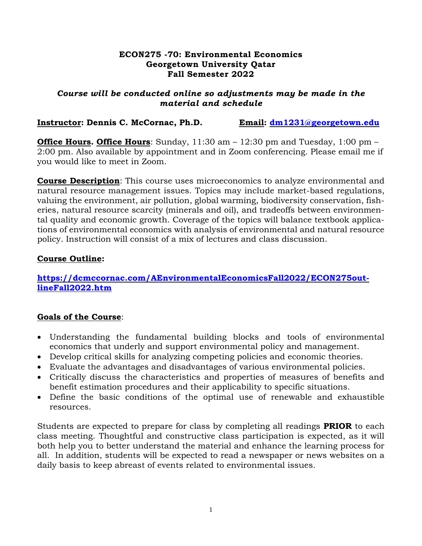#### **ECON275 -70: Environmental Economics Georgetown University Qatar Fall Semester 2022**

### *Course will be conducted online so adjustments may be made in the material and schedule*

## **Instructor: Dennis C. McCornac, Ph.D. Email: [dm1231@georgetown.edu](mailto:dm1231@georgetown.edu)**

**Office Hours. Office Hours**: Sunday, 11:30 am – 12:30 pm and Tuesday, 1:00 pm – 2:00 pm. Also available by appointment and in Zoom conferencing. Please email me if you would like to meet in Zoom.

**Course Description**: This course uses microeconomics to analyze environmental and natural resource management issues. Topics may include market-based regulations, valuing the environment, air pollution, global warming, biodiversity conservation, fisheries, natural resource scarcity (minerals and oil), and tradeoffs between environmental quality and economic growth. Coverage of the topics will balance textbook applications of environmental economics with analysis of environmental and natural resource policy. Instruction will consist of a mix of lectures and class discussion.

## **Course Outline:**

**[https://dcmccornac.com/AEnvironmentalEconomicsFall2022/ECON275out](https://dcmccornac.com/AEnvironmentalEconomicsFall2022/ECON275outlineFall2022.htm)[lineFall2022.htm](https://dcmccornac.com/AEnvironmentalEconomicsFall2022/ECON275outlineFall2022.htm)**

# **Goals of the Course**:

- Understanding the fundamental building blocks and tools of environmental economics that underly and support environmental policy and management.
- Develop critical skills for analyzing competing policies and economic theories.
- Evaluate the advantages and disadvantages of various environmental policies.
- Critically discuss the characteristics and properties of measures of benefits and benefit estimation procedures and their applicability to specific situations.
- Define the basic conditions of the optimal use of renewable and exhaustible resources.

Students are expected to prepare for class by completing all readings **PRIOR** to each class meeting. Thoughtful and constructive class participation is expected, as it will both help you to better understand the material and enhance the learning process for all. In addition, students will be expected to read a newspaper or news websites on a daily basis to keep abreast of events related to environmental issues.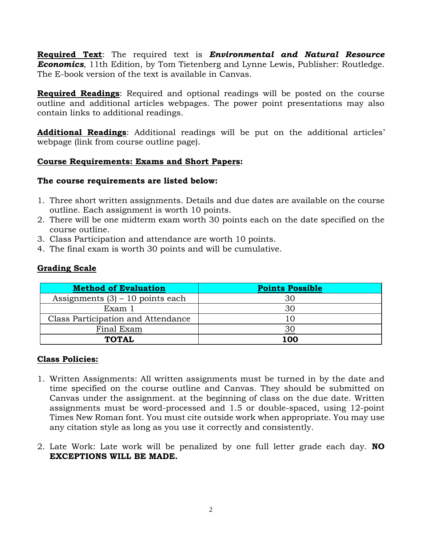**Required Text**: The required text is *Environmental and Natural Resource Economics*, 11th Edition, by Tom Tietenberg and Lynne Lewis, Publisher: Routledge. The E-book version of the text is available in Canvas.

**Required Readings**: Required and optional readings will be posted on the course outline and additional articles webpages. The power point presentations may also contain links to additional readings.

**Additional Readings**: Additional readings will be put on the additional articles' webpage (link from course outline page).

# **Course Requirements: Exams and Short Papers:**

## **The course requirements are listed below:**

- 1. Three short written assignments. Details and due dates are available on the course outline. Each assignment is worth 10 points.
- 2. There will be one midterm exam worth 30 points each on the date specified on the course outline.
- 3. Class Participation and attendance are worth 10 points.
- 4. The final exam is worth 30 points and will be cumulative.

# **Grading Scale**

| <b>Method of Evaluation</b>        | <b>Points Possible</b> |
|------------------------------------|------------------------|
| Assignments $(3) - 10$ points each | 30                     |
| Exam 1                             | 30                     |
| Class Participation and Attendance |                        |
| Final Exam                         |                        |
| TOTAL                              | 100                    |

### **Class Policies:**

- 1. Written Assignments: All written assignments must be turned in by the date and time specified on the course outline and Canvas. They should be submitted on Canvas under the assignment. at the beginning of class on the due date. Written assignments must be word-processed and 1.5 or double-spaced, using 12-point Times New Roman font. You must cite outside work when appropriate. You may use any citation style as long as you use it correctly and consistently.
- 2. Late Work: Late work will be penalized by one full letter grade each day. **NO EXCEPTIONS WILL BE MADE.**